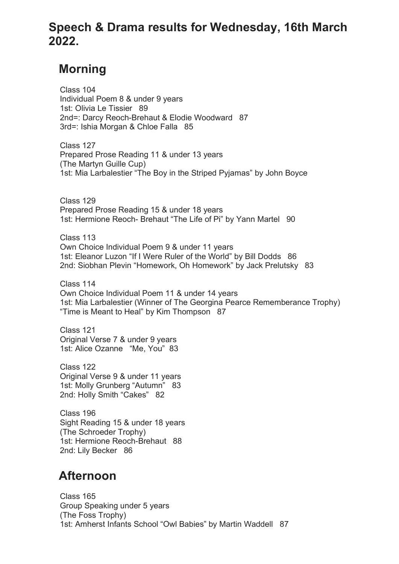## **Speech & Drama results for Wednesday, 16th March 2022.**

## **Morning**

 Class 104 Individual Poem 8 & under 9 years 1st: Olivia Le Tissier 89 2nd=: Darcy Reoch-Brehaut & Elodie Woodward 87 3rd=: Ishia Morgan & Chloe Falla 85

 Class 127 Prepared Prose Reading 11 & under 13 years (The Martyn Guille Cup) 1st: Mia Larbalestier "The Boy in the Striped Pyjamas" by John Boyce

 Class 129 Prepared Prose Reading 15 & under 18 years 1st: Hermione Reoch- Brehaut "The Life of Pi" by Yann Martel 90

 Class 113 Own Choice Individual Poem 9 & under 11 years 1st: Eleanor Luzon "If I Were Ruler of the World" by Bill Dodds 86 2nd: Siobhan Plevin "Homework, Oh Homework" by Jack Prelutsky 83

 Class 114 Own Choice Individual Poem 11 & under 14 years 1st: Mia Larbalestier (Winner of The Georgina Pearce Rememberance Trophy) "Time is Meant to Heal" by Kim Thompson 87

 Class 121 Original Verse 7 & under 9 years 1st: Alice Ozanne "Me, You" 83

 Class 122 Original Verse 9 & under 11 years 1st: Molly Grunberg "Autumn" 83 2nd: Holly Smith "Cakes" 82

 Class 196 Sight Reading 15 & under 18 years (The Schroeder Trophy) 1st: Hermione Reoch-Brehaut 88 2nd: Lily Becker 86

## **Afternoon**

 Class 165 Group Speaking under 5 years (The Foss Trophy) 1st: Amherst Infants School "Owl Babies" by Martin Waddell 87